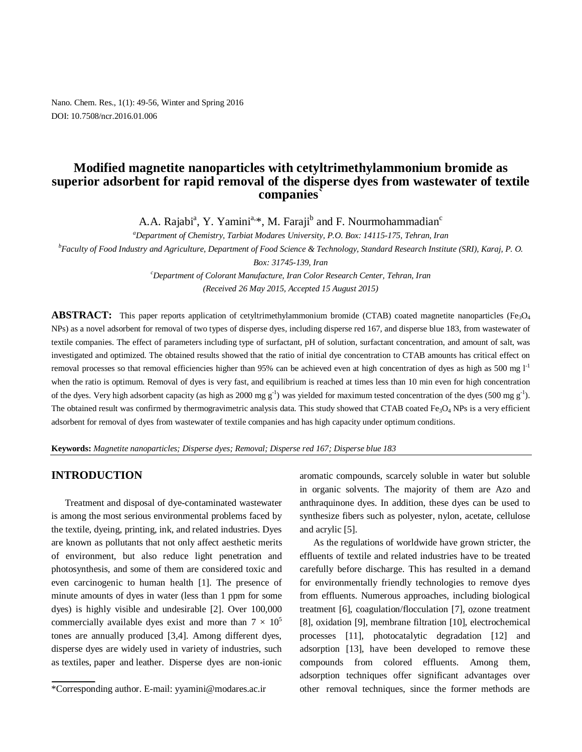Nano. Chem. Res., 1(1): 49-56, Winter and Spring 2016 DOI: 10.7508/ncr.2016.01.006

# **Modified magnetite nanoparticles with cetyltrimethylammonium bromide as**  superior adsorbent for rapid removal of the disperse dyes from wastewater of textile **companies`**

A.A. Rajabi<sup>a</sup>, Y. Yamini<sup>a,\*</sup>, M. Faraji<sup>b</sup> and F. Nourmohammadian<sup>c</sup>

*<sup>a</sup>Department of Chemistry, Tarbiat Modares University, P.O. Box: 14115-175, Tehran, Iran*

*<sup>b</sup>Faculty of Food Industry and Agriculture, Department of Food Science & Technology, Standard Research Institute (SRI), Karaj, P. O. Box: 31745-139, Iran*

> *<sup>c</sup>Department of Colorant Manufacture, Iran Color Research Center, Tehran, Iran (Received 26 May 2015, Accepted 15 August 2015)*

**ABSTRACT:** This paper reports application of cetyltrimethylammonium bromide (CTAB) coated magnetite nanoparticles (Fe<sub>3</sub>O<sub>4</sub> NPs) as a novel adsorbent for removal of two types of disperse dyes, including disperse red 167, and disperse blue 183, from wastewater of textile companies. The effect of parameters including type of surfactant, pH of solution, surfactant concentration, and amount of salt, was investigated and optimized. The obtained results showed that the ratio of initial dye concentration to CTAB amounts has critical effect on removal processes so that removal efficiencies higher than 95% can be achieved even at high concentration of dyes as high as 500 mg  $1<sup>-1</sup>$ when the ratio is optimum. Removal of dyes is very fast, and equilibrium is reached at times less than 10 min even for high concentration of the dyes. Very high adsorbent capacity (as high as 2000 mg  $g^{-1}$ ) was yielded for maximum tested concentration of the dyes (500 mg  $g^{-1}$ ). The obtained result was confirmed by thermogravimetric analysis data. This study showed that CTAB coated Fe<sub>3</sub>O<sub>4</sub> NPs is a very efficient adsorbent for removal of dyes from wastewater of textile companies and has high capacity under optimum conditions.

**Keywords:** *Magnetite nanoparticles; Disperse dyes; Removal; Disperse red 167; Disperse blue 183*

## **INTRODUCTION**

Treatment and disposal of dye-contaminated wastewater is among the most serious environmental problems faced by the textile, dyeing, printing, ink, and related industries. Dyes are known as pollutants that not only affect aesthetic merits of environment, but also reduce light penetration and photosynthesis, and some of them are considered toxic and even carcinogenic to human health [1]. The presence of minute amounts of dyes in water (less than 1 ppm for some dyes) is highly visible and undesirable [2]. Over 100,000 commercially available dyes exist and more than  $7 \times 10^5$ tones are annually produced [3,4]. Among different dyes, disperse dyes are widely used in variety of industries, such as textiles, paper and leather. Disperse dyes are non-ionic aromatic compounds, scarcely soluble in water but soluble in organic solvents. The majority of them are Azo and anthraquinone dyes. In addition, these dyes can be used to synthesize fibers such as polyester, nylon, acetate, cellulose and acrylic [5].

As the regulations of worldwide have grown stricter, the effluents of textile and related industries have to be treated carefully before discharge. This has resulted in a demand for environmentally friendly technologies to remove dyes from effluents. Numerous approaches, including biological treatment [6], coagulation/flocculation [7], ozone treatment [8], oxidation [9], membrane filtration [10], electrochemical processes [11], photocatalytic degradation [12] and adsorption [13], have been developed to remove these compounds from colored effluents. Among them, adsorption techniques offer significant advantages over other removal techniques, since the former methods are

<sup>\*</sup>Corresponding author. E-mail: yyamini@modares.ac.ir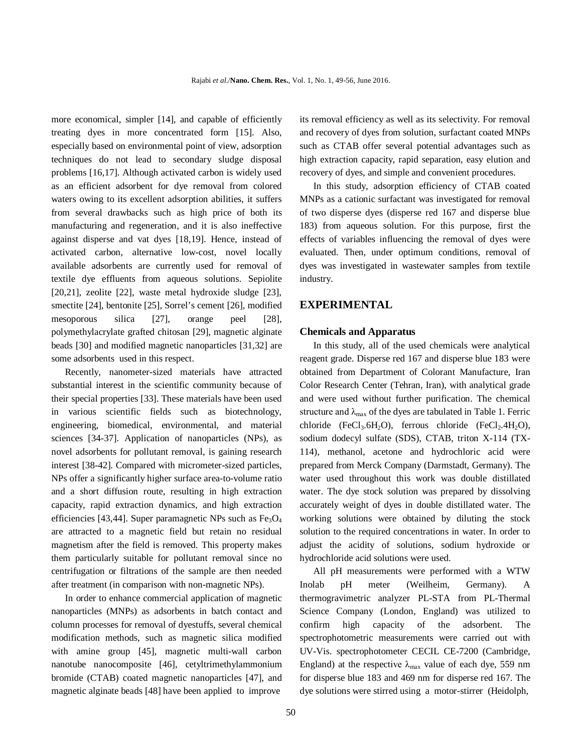more economical, simpler [14], and capable of efficiently treating dyes in more concentrated form [15]. Also, especially based on environmental point of view, adsorption techniques do not lead to secondary sludge disposal problems [16,17]. Although activated carbon is widely used as an efficient adsorbent for dye removal from colored waters owing to its excellent adsorption abilities, it suffers from several drawbacks such as high price of both its manufacturing and regeneration, and it is also ineffective against disperse and vat dyes [18,19]. Hence, instead of activated carbon, alternative low-cost, novel locally available adsorbents are currently used for removal of textile dye effluents from aqueous solutions. Sepiolite [20,21], zeolite [22], waste metal hydroxide sludge [23], smectite [24], bentonite [25], Sorrel's cement [26], modified mesoporous silica [27], orange peel [28], polymethylacrylate grafted chitosan [29], magnetic alginate beads [30] and modified magnetic nanoparticles [31,32] are some adsorbents used in this respect.

Recently, nanometer-sized materials have attracted substantial interest in the scientific community because of their special properties [33]. These materials have been used in various scientific fields such as biotechnology, engineering, biomedical, environmental, and material sciences [34-37]. Application of nanoparticles (NPs), as novel adsorbents for pollutant removal, is gaining research interest [38-42]. Compared with micrometer-sized particles, NPs offer a significantly higher surface area-to-volume ratio and a short diffusion route, resulting in high extraction capacity, rapid extraction dynamics, and high extraction efficiencies [43,44]. Super paramagnetic NPs such as  $Fe<sub>3</sub>O<sub>4</sub>$ are attracted to a magnetic field but retain no residual magnetism after the field is removed. This property makes them particularly suitable for pollutant removal since no centrifugation or filtrations of the sample are then needed after treatment (in comparison with non-magnetic NPs).

In order to enhance commercial application of magnetic nanoparticles (MNPs) as adsorbents in batch contact and column processes for removal of dyestuffs, several chemical modification methods, such as magnetic silica modified with amine group [45], magnetic multi-wall carbon nanotube nanocomposite [46], cetyltrimethylammonium bromide (CTAB) coated magnetic nanoparticles [47], and magnetic alginate beads [48] have been applied to improve

its removal efficiency as well as its selectivity. For removal and recovery of dyes from solution, surfactant coated MNPs such as CTAB offer several potential advantages such as high extraction capacity, rapid separation, easy elution and recovery of dyes, and simple and convenient procedures.

In this study, adsorption efficiency of CTAB coated MNPs as a cationic surfactant was investigated for removal of two disperse dyes (disperse red 167 and disperse blue 183) from aqueous solution. For this purpose, first the effects of variables influencing the removal of dyes were evaluated. Then, under optimum conditions, removal of dyes was investigated in wastewater samples from textile industry.

## **EXPERIMENTAL**

#### **Chemicals and Apparatus**

In this study, all of the used chemicals were analytical reagent grade. Disperse red 167 and disperse blue 183 were obtained from Department of Colorant Manufacture, Iran Color Research Center (Tehran, Iran), with analytical grade and were used without further purification. The chemical structure and  $\lambda_{\text{max}}$  of the dyes are tabulated in Table 1. Ferric chloride (FeCl<sub>3</sub>.6H<sub>2</sub>O), ferrous chloride (FeCl<sub>2</sub>.4H<sub>2</sub>O), sodium dodecyl sulfate (SDS), CTAB, triton X-114 (TX-114), methanol, acetone and hydrochloric acid were prepared from Merck Company (Darmstadt, Germany). The water used throughout this work was double distillated water. The dye stock solution was prepared by dissolving accurately weight of dyes in double distillated water. The working solutions were obtained by diluting the stock solution to the required concentrations in water. In order to adjust the acidity of solutions, sodium hydroxide or hydrochloride acid solutions were used.

All pH measurements were performed with a WTW Inolab pH meter (Weilheim, Germany). A thermogravimetric analyzer PL-STA from PL-Thermal Science Company (London, England) was utilized to confirm high capacity of the adsorbent. The spectrophotometric measurements were carried out with UV-Vis. spectrophotometer CECIL CE-7200 (Cambridge, England) at the respective  $\lambda_{\text{max}}$  value of each dye, 559 nm for disperse blue 183 and 469 nm for disperse red 167. The dye solutions were stirred using a motor-stirrer (Heidolph,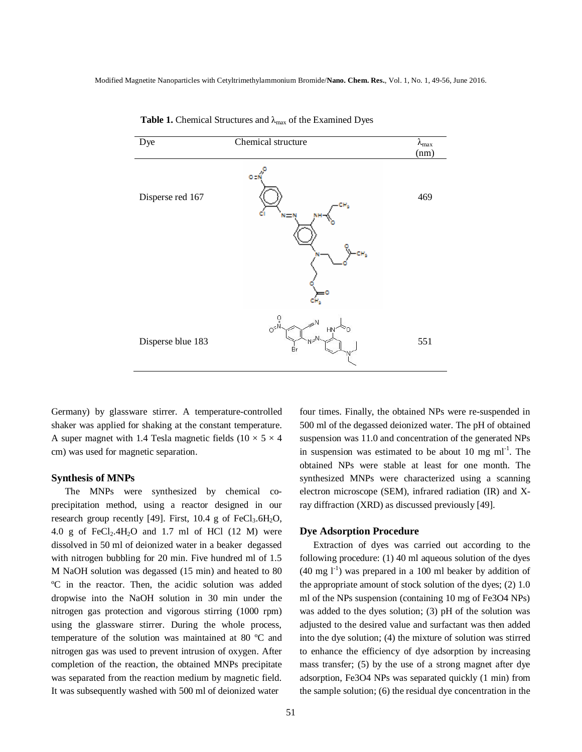| Dye               | Chemical structure                                                                              | $\lambda_{max}$<br>(nm) |
|-------------------|-------------------------------------------------------------------------------------------------|-------------------------|
| Disperse red 167  | O El                                                                                            | 469                     |
| Disperse blue 183 | $\begin{matrix} 0 \\ 0 \\ 0 \\ 0 \end{matrix}$<br>$\mathbb{A}^{\mathbb{N}}$<br>HŅ.<br>N≈I<br>Br | 551                     |

 **Table 1.** Chemical Structures and λmax of the Examined Dyes

Germany) by glassware stirrer. A temperature-controlled shaker was applied for shaking at the constant temperature. A super magnet with 1.4 Tesla magnetic fields ( $10 \times 5 \times 4$ ) cm) was used for magnetic separation.

#### **Synthesis of MNPs**

The MNPs were synthesized by chemical coprecipitation method, using a reactor designed in our research group recently [49]. First,  $10.4$  g of FeCl<sub>3</sub>.6H<sub>2</sub>O, 4.0 g of  $FeCl<sub>2</sub>$ .4H<sub>2</sub>O and 1.7 ml of HCl (12 M) were dissolved in 50 ml of deionized water in a beaker degassed with nitrogen bubbling for 20 min. Five hundred ml of 1.5 M NaOH solution was degassed (15 min) and heated to 80 ºC in the reactor. Then, the acidic solution was added dropwise into the NaOH solution in 30 min under the nitrogen gas protection and vigorous stirring (1000 rpm) using the glassware stirrer. During the whole process, temperature of the solution was maintained at 80 ºC and nitrogen gas was used to prevent intrusion of oxygen. After completion of the reaction, the obtained MNPs precipitate was separated from the reaction medium by magnetic field. It was subsequently washed with 500 ml of deionized water

four times. Finally, the obtained NPs were re-suspended in 500 ml of the degassed deionized water. The pH of obtained suspension was 11.0 and concentration of the generated NPs in suspension was estimated to be about 10 mg  $ml^{-1}$ . The obtained NPs were stable at least for one month. The synthesized MNPs were characterized using a scanning electron microscope (SEM), infrared radiation (IR) and Xray diffraction (XRD) as discussed previously [49].

#### **Dye Adsorption Procedure**

Extraction of dyes was carried out according to the following procedure: (1) 40 ml aqueous solution of the dyes  $(40 \text{ mg } l^{-1})$  was prepared in a 100 ml beaker by addition of the appropriate amount of stock solution of the dyes; (2) 1.0 ml of the NPs suspension (containing 10 mg of Fe3O4 NPs) was added to the dyes solution; (3) pH of the solution was adjusted to the desired value and surfactant was then added into the dye solution; (4) the mixture of solution was stirred to enhance the efficiency of dye adsorption by increasing mass transfer; (5) by the use of a strong magnet after dye adsorption, Fe3O4 NPs was separated quickly (1 min) from the sample solution; (6) the residual dye concentration in the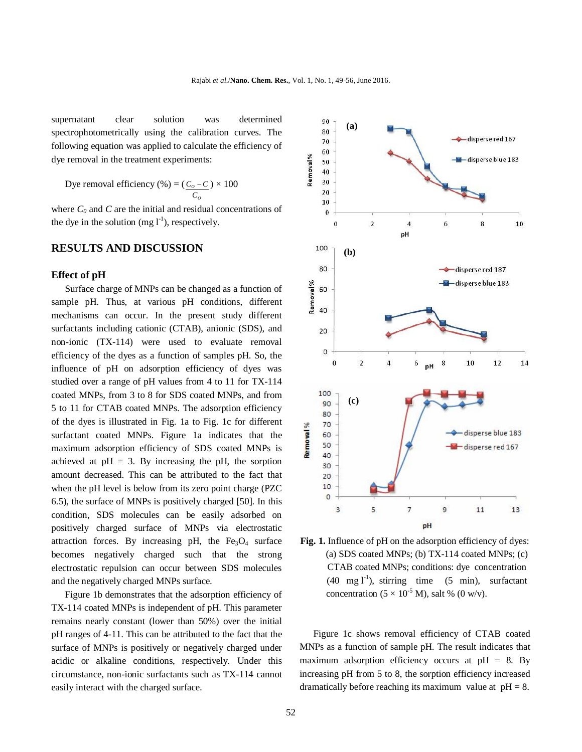supernatant clear solution was determined spectrophotometrically using the calibration curves. The following equation was applied to calculate the efficiency of dye removal in the treatment experiments:

Dye removal efficiency  $(\%) = ($ *O*  $\frac{0}{C}$  $C_o - C$ )  $\times$  100

where  $C_0$  and  $C$  are the initial and residual concentrations of the dye in the solution  $(mg 1^{-1})$ , respectively.

## **RESULTS AND DISCUSSION**

#### **Effect of pH**

Surface charge of MNPs can be changed as a function of sample pH. Thus, at various pH conditions, different mechanisms can occur. In the present study different surfactants including cationic (CTAB), anionic (SDS), and non-ionic (TX-114) were used to evaluate removal efficiency of the dyes as a function of samples pH. So, the influence of pH on adsorption efficiency of dyes was studied over a range of pH values from 4 to 11 for TX-114 coated MNPs, from 3 to 8 for SDS coated MNPs, and from 5 to 11 for CTAB coated MNPs. The adsorption efficiency of the dyes is illustrated in Fig. 1a to Fig. 1c for different surfactant coated MNPs. Figure 1a indicates that the maximum adsorption efficiency of SDS coated MNPs is achieved at  $pH = 3$ . By increasing the pH, the sorption amount decreased. This can be attributed to the fact that when the pH level is below from its zero point charge (PZC 6.5), the surface of MNPs is positively charged [50]. In this condition, SDS molecules can be easily adsorbed on positively charged surface of MNPs via electrostatic attraction forces. By increasing pH, the  $Fe<sub>3</sub>O<sub>4</sub>$  surface becomes negatively charged such that the strong electrostatic repulsion can occur between SDS molecules and the negatively charged MNPs surface.

Figure 1b demonstrates that the adsorption efficiency of TX-114 coated MNPs is independent of pH. This parameter remains nearly constant (lower than 50%) over the initial pH ranges of 4-11. This can be attributed to the fact that the surface of MNPs is positively or negatively charged under acidic or alkaline conditions, respectively. Under this circumstance, non-ionic surfactants such as TX-114 cannot easily interact with the charged surface.



**Fig. 1.** Influence of pH on the adsorption efficiency of dyes: (a) SDS coated MNPs; (b) TX-114 coated MNPs; (c) CTAB coated MNPs; conditions: dye concentration  $(40 \text{ mg l}^{-1})$ , stirring time  $(5 \text{ min})$ , surfactant concentration ( $5 \times 10^{-5}$  M), salt % (0 w/v).

Figure 1c shows removal efficiency of CTAB coated MNPs as a function of sample pH. The result indicates that maximum adsorption efficiency occurs at  $pH = 8$ . By increasing pH from 5 to 8, the sorption efficiency increased dramatically before reaching its maximum value at  $pH = 8$ .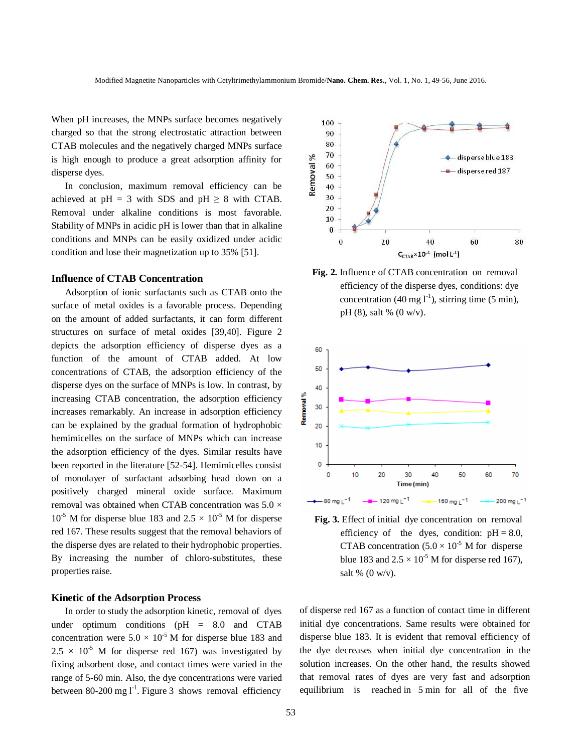When pH increases, the MNPs surface becomes negatively charged so that the strong electrostatic attraction between CTAB molecules and the negatively charged MNPs surface is high enough to produce a great adsorption affinity for disperse dyes.

In conclusion, maximum removal efficiency can be achieved at  $pH = 3$  with SDS and  $pH \ge 8$  with CTAB. Removal under alkaline conditions is most favorable. Stability of MNPs in acidic pH is lower than that in alkaline conditions and MNPs can be easily oxidized under acidic condition and lose their magnetization up to 35% [51].

#### **Influence of CTAB Concentration**

Adsorption of ionic surfactants such as CTAB onto the surface of metal oxides is a favorable process. Depending on the amount of added surfactants, it can form different structures on surface of metal oxides [39,40]. Figure 2 depicts the adsorption efficiency of disperse dyes as a function of the amount of CTAB added. At low concentrations of CTAB, the adsorption efficiency of the disperse dyes on the surface of MNPs is low. In contrast, by increasing CTAB concentration, the adsorption efficiency increases remarkably. An increase in adsorption efficiency can be explained by the gradual formation of hydrophobic hemimicelles on the surface of MNPs which can increase the adsorption efficiency of the dyes. Similar results have been reported in the literature [52-54]. Hemimicelles consist of monolayer of surfactant adsorbing head down on a positively charged mineral oxide surface. Maximum removal was obtained when CTAB concentration was  $5.0 \times$  $10^{-5}$  M for disperse blue 183 and  $2.5 \times 10^{-5}$  M for disperse red 167. These results suggest that the removal behaviors of the disperse dyes are related to their hydrophobic properties. By increasing the number of chloro-substitutes, these properties raise.

#### **Kinetic of the Adsorption Process**

In order to study the adsorption kinetic, removal of dyes under optimum conditions (pH = 8.0 and CTAB concentration were  $5.0 \times 10^{-5}$  M for disperse blue 183 and  $2.5 \times 10^{-5}$  M for disperse red 167) was investigated by fixing adsorbent dose, and contact times were varied in the range of 5-60 min. Also, the dye concentrations were varied between 80-200 mg  $1^{-1}$ . Figure 3 shows removal efficiency



**Fig. 2.** Influence of CTAB concentration on removal efficiency of the disperse dyes, conditions: dye concentration (40 mg  $1^{-1}$ ), stirring time (5 min), pH (8), salt % (0 w/v).



 **Fig. 3.** Effect of initial dye concentration on removal efficiency of the dyes, condition:  $pH = 8.0$ , CTAB concentration  $(5.0 \times 10^{-5} \text{ M})$  for disperse blue 183 and  $2.5 \times 10^{-5}$  M for disperse red 167), salt % (0 w/v).

of disperse red 167 as a function of contact time in different initial dye concentrations. Same results were obtained for disperse blue 183. It is evident that removal efficiency of the dye decreases when initial dye concentration in the solution increases. On the other hand, the results showed that removal rates of dyes are very fast and adsorption equilibrium is reached in 5 min for all of the five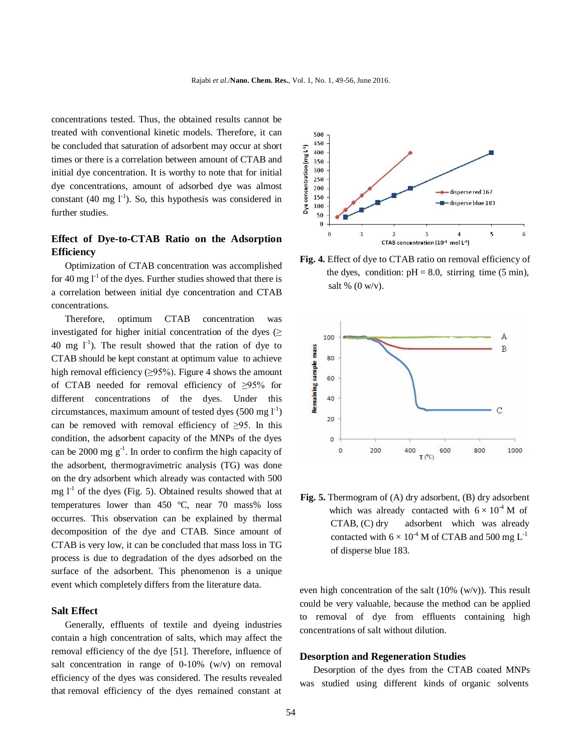concentrations tested. Thus, the obtained results cannot be treated with conventional kinetic models. Therefore, it can be concluded that saturation of adsorbent may occur at short times or there is a correlation between amount of CTAB and initial dye concentration. It is worthy to note that for initial dye concentrations, amount of adsorbed dye was almost constant (40 mg  $1^{-1}$ ). So, this hypothesis was considered in further studies.

# **Effect of Dye-to-CTAB Ratio on the Adsorption Efficiency**

Optimization of CTAB concentration was accomplished for 40 mg  $I<sup>-1</sup>$  of the dyes. Further studies showed that there is a correlation between initial dye concentration and CTAB concentrations.

Therefore, optimum CTAB concentration was investigated for higher initial concentration of the dyes  $($  $40 \text{ mg } l^{-1}$ ). The result showed that the ration of dye to CTAB should be kept constant at optimum value to achieve high removal efficiency  $(\geq 95\%)$ . Figure 4 shows the amount of CTAB needed for removal efficiency of ≥95% for different concentrations of the dyes. Under this circumstances, maximum amount of tested dyes  $(500 \text{ mg l}^{-1})$ can be removed with removal efficiency of  $\geq 95$ . In this condition, the adsorbent capacity of the MNPs of the dyes can be 2000 mg  $g^{-1}$ . In order to confirm the high capacity of the adsorbent, thermogravimetric analysis (TG) was done on the dry adsorbent which already was contacted with 500 mg  $I<sup>-1</sup>$  of the dyes (Fig. 5). Obtained results showed that at temperatures lower than 450 ºC, near 70 mass% loss occurres. This observation can be explained by thermal decomposition of the dye and CTAB. Since amount of CTAB is very low, it can be concluded that mass loss in TG process is due to degradation of the dyes adsorbed on the surface of the adsorbent. This phenomenon is a unique event which completely differs from the literature data.

### **Salt Effect**

Generally, effluents of textile and dyeing industries contain a high concentration of salts, which may affect the removal efficiency of the dye [51]. Therefore, influence of salt concentration in range of 0-10% (w/v) on removal efficiency of the dyes was considered. The results revealed that removal efficiency of the dyes remained constant at



**Fig. 4.** Effect of dye to CTAB ratio on removal efficiency of the dyes, condition:  $pH = 8.0$ , stirring time (5 min), salt %  $(0 \text{ w/v})$ .



**Fig. 5.** Thermogram of (A) dry adsorbent, (B) dry adsorbent which was already contacted with  $6 \times 10^{-4}$  M of CTAB, (C) dry adsorbent which was already contacted with  $6 \times 10^{-4}$  M of CTAB and 500 mg L<sup>-1</sup> of disperse blue 183.

even high concentration of the salt (10% (w/v)). This result could be very valuable, because the method can be applied to removal of dye from effluents containing high concentrations of salt without dilution.

#### **Desorption and Regeneration Studies**

Desorption of the dyes from the CTAB coated MNPs was studied using different kinds of organic solvents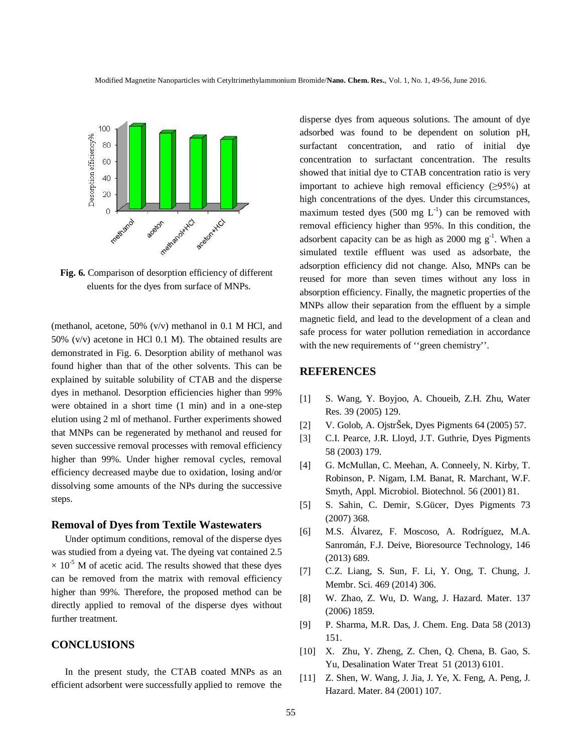

**Fig. 6.** Comparison of desorption efficiency of different eluents for the dyes from surface of MNPs.

(methanol, acetone, 50% (v/v) methanol in 0.1 M HCl, and 50% (v/v) acetone in HCl 0.1 M). The obtained results are demonstrated in Fig. 6. Desorption ability of methanol was found higher than that of the other solvents. This can be explained by suitable solubility of CTAB and the disperse dyes in methanol. Desorption efficiencies higher than 99% were obtained in a short time (1 min) and in a one-step elution using 2 ml of methanol. Further experiments showed that MNPs can be regenerated by methanol and reused for seven successive removal processes with removal efficiency higher than 99%. Under higher removal cycles, removal efficiency decreased maybe due to oxidation, losing and/or dissolving some amounts of the NPs during the successive steps.

### **Removal of Dyes from Textile Wastewaters**

Under optimum conditions, removal of the disperse dyes was studied from a dyeing vat. The dyeing vat contained 2.5  $\times$  10<sup>-5</sup> M of acetic acid. The results showed that these dyes can be removed from the matrix with removal efficiency higher than 99%. Therefore, the proposed method can be directly applied to removal of the disperse dyes without further treatment.

## **CONCLUSIONS**

In the present study, the CTAB coated MNPs as an efficient adsorbent were successfully applied to remove the disperse dyes from aqueous solutions. The amount of dye adsorbed was found to be dependent on solution pH, surfactant concentration, and ratio of initial dye concentration to surfactant concentration. The results showed that initial dye to CTAB concentration ratio is very important to achieve high removal efficiency  $(≥95%)$  at high concentrations of the dyes. Under this circumstances, maximum tested dyes (500 mg  $L^{-1}$ ) can be removed with removal efficiency higher than 95%. In this condition, the adsorbent capacity can be as high as  $2000$  mg  $g^{-1}$ . When a simulated textile effluent was used as adsorbate, the adsorption efficiency did not change. Also, MNPs can be reused for more than seven times without any loss in absorption efficiency. Finally, the magnetic properties of the MNPs allow their separation from the effluent by a simple magnetic field, and lead to the development of a clean and safe process for water pollution remediation in accordance with the new requirements of ''green chemistry''.

## **REFERENCES**

- [1] S. Wang, Y. Boyjoo, A. Choueib, Z.H. Zhu, Water Res. 39 (2005) 129.
- [2] V. Golob, A. OjstrŠek, Dyes Pigments 64 (2005) 57.
- [3] C.I. Pearce, J.R. Lloyd, J.T. Guthrie, Dyes Pigments 58 (2003) 179.
- [4] G. McMullan, C. Meehan, A. Conneely, N. Kirby, T. Robinson, P. Nigam, I.M. Banat, R. Marchant, W.F. Smyth, Appl. Microbiol. Biotechnol. 56 (2001) 81.
- [5] S. Sahin, C. Demir, S.Gücer, Dyes Pigments 73 (2007) 368.
- [6] M.S. Álvarez, F. Moscoso, A. Rodríguez, M.A. Sanromán, F.J. Deive, Bioresource Technology, 146 (2013) 689.
- [7] C.Z. Liang, S. Sun, F. Li, Y. Ong, T. Chung, J. Membr. Sci. 469 (2014) 306.
- [8] W. Zhao, Z. Wu, D. Wang, J. Hazard. Mater. 137 (2006) 1859.
- [9] P. Sharma, M.R. Das, J. Chem. Eng. Data 58 (2013) 151.
- [10] X. Zhu, Y. Zheng, Z. Chen, Q. Chena, B. Gao, S. Yu, Desalination Water Treat 51 (2013) 6101.
- [11] Z. Shen, W. Wang, J. Jia, J. Ye, X. Feng, A. Peng, J. Hazard. Mater. 84 (2001) 107.